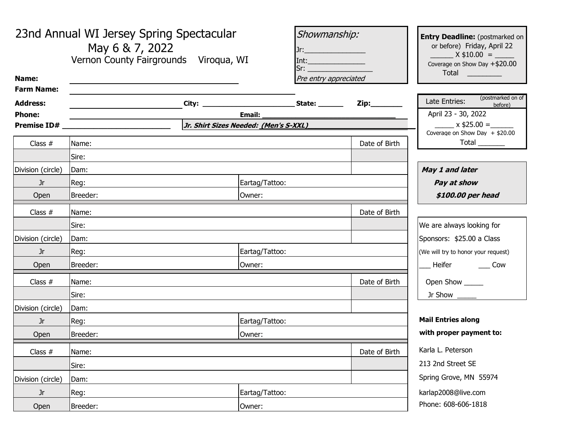| Name:             | 23nd Annual WI Jersey Spring Spectacular<br>May 6 & 7, 2022<br>Vernon County Fairgrounds Viroqua, WI |                | Showmanship:<br>Jr:____________________<br>Pre entry appreciated | <b>Entry Deadline:</b> (postmarked on<br>or before) Friday, April 22<br>$X$ \$10.00 =<br>Coverage on Show Day +\$20.00<br>Total |
|-------------------|------------------------------------------------------------------------------------------------------|----------------|------------------------------------------------------------------|---------------------------------------------------------------------------------------------------------------------------------|
| <b>Farm Name:</b> |                                                                                                      |                |                                                                  | (postmarked on of                                                                                                               |
| <b>Address:</b>   |                                                                                                      |                | Zip:________                                                     | Late Entries:<br>before)                                                                                                        |
| <b>Phone:</b>     | <b>Email:</b><br><b>Premise ID# Example 2014</b><br>Jr. Shirt Sizes Needed: (Men's S-XXL)            |                |                                                                  | April 23 - 30, 2022<br>$x$ \$25.00 =                                                                                            |
|                   |                                                                                                      |                |                                                                  | Coverage on Show Day $+$ \$20.00                                                                                                |
| Class $#$         | Name:                                                                                                |                | Date of Birth                                                    | $Total$ <sub>________</sub>                                                                                                     |
|                   | Sire:                                                                                                |                |                                                                  |                                                                                                                                 |
| Division (circle) | Dam:                                                                                                 |                |                                                                  | May 1 and later                                                                                                                 |
| Jr                | Reg:                                                                                                 | Eartag/Tattoo: |                                                                  | Pay at show                                                                                                                     |
| Open              | Breeder:                                                                                             | Owner:         |                                                                  | \$100.00 per head                                                                                                               |
| Class $#$         | Name:                                                                                                |                | Date of Birth                                                    |                                                                                                                                 |
|                   | Sire:                                                                                                |                |                                                                  | We are always looking for                                                                                                       |
| Division (circle) | Dam:                                                                                                 |                |                                                                  | Sponsors: \$25.00 a Class                                                                                                       |
| Jr                | Reg:<br>Eartag/Tattoo:                                                                               |                |                                                                  | (We will try to honor your request)                                                                                             |
| Open              | Breeder:<br>Owner:                                                                                   |                | Heifer _______ Cow                                               |                                                                                                                                 |
| Class $#$         | Date of Birth<br>Name:                                                                               |                |                                                                  | Open Show _____                                                                                                                 |
|                   | Sire:                                                                                                |                | Jr Show $\_\_\_\_\_\$                                            |                                                                                                                                 |
| Division (circle) | Dam:                                                                                                 |                |                                                                  |                                                                                                                                 |
| Jr                | Reg:<br>Eartag/Tattoo:                                                                               |                |                                                                  | <b>Mail Entries along</b>                                                                                                       |
| Open              | Breeder:<br>Owner:                                                                                   |                | with proper payment to:                                          |                                                                                                                                 |
| Class $#$         | Name:                                                                                                |                | Date of Birth                                                    | Karla L. Peterson                                                                                                               |
|                   | Sire:                                                                                                |                |                                                                  | 213 2nd Street SE                                                                                                               |
| Division (circle) | Dam:                                                                                                 |                |                                                                  | Spring Grove, MN 55974                                                                                                          |
| Jr                | Reg:<br>Eartag/Tattoo:                                                                               |                |                                                                  | karlap2008@live.com                                                                                                             |
| Open              | Breeder:                                                                                             | Owner:         |                                                                  | Phone: 608-606-1818                                                                                                             |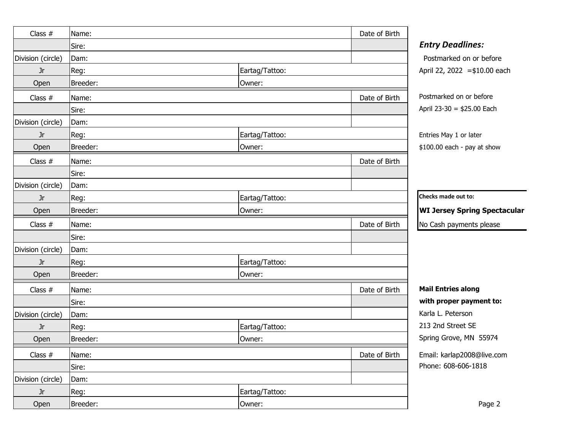| Class $#$         | Name:    |                | Date of Birth |                                     |
|-------------------|----------|----------------|---------------|-------------------------------------|
|                   | Sire:    |                |               | <b>Entry Deadlines:</b>             |
| Division (circle) | Dam:     |                |               | Postmarked on or before             |
| Jr                | Reg:     | Eartag/Tattoo: |               | April 22, 2022 = \$10.00 each       |
| Open              | Breeder: | Owner:         |               |                                     |
| Class $#$         | Name:    |                | Date of Birth | Postmarked on or before             |
|                   | Sire:    |                |               | April 23-30 = $$25.00$ Each         |
| Division (circle) | Dam:     |                |               |                                     |
| Jr.               | Reg:     | Eartag/Tattoo: |               | Entries May 1 or later              |
| Open              | Breeder: | Owner:         |               | \$100.00 each - pay at show         |
| Class $#$         | Name:    |                | Date of Birth |                                     |
|                   | Sire:    |                |               |                                     |
| Division (circle) | Dam:     |                |               |                                     |
| Jr                | Reg:     | Eartag/Tattoo: |               | Checks made out to:                 |
| Open              | Breeder: | Owner:         |               | <b>WI Jersey Spring Spectacular</b> |
| Class $#$         | Name:    |                | Date of Birth | No Cash payments please             |
|                   | Sire:    |                |               |                                     |
| Division (circle) | Dam:     |                |               |                                     |
| <b>Jr</b>         | Reg:     | Eartag/Tattoo: |               |                                     |
| Open              | Breeder: | Owner:         |               |                                     |
| Class $#$         | Name:    |                | Date of Birth | <b>Mail Entries along</b>           |
|                   | Sire:    |                |               | with proper payment to:             |
| Division (circle) | Dam:     |                |               | Karla L. Peterson                   |
| Jr                | Reg:     | Eartag/Tattoo: |               | 213 2nd Street SE                   |
| Open              | Breeder: | Owner:         |               | Spring Grove, MN 55974              |
| Class $#$         | Name:    |                | Date of Birth | Email: karlap2008@live.com          |
|                   | Sire:    |                |               | Phone: 608-606-1818                 |
| Division (circle) | Dam:     |                |               |                                     |
| Jr                | Reg:     | Eartag/Tattoo: |               |                                     |
| Open              | Breeder: | Owner:         |               | Page 2                              |